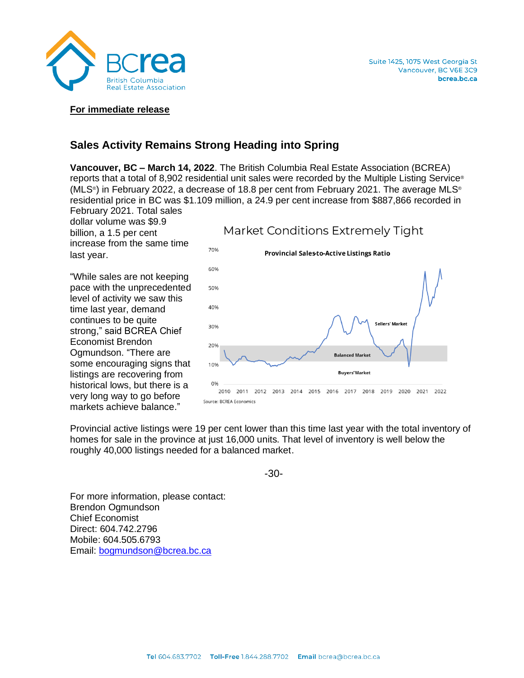

#### **For immediate release**

# **Sales Activity Remains Strong Heading into Spring**

**Vancouver, BC – March 14, 2022**. The British Columbia Real Estate Association (BCREA) reports that a total of 8,902 residential unit sales were recorded by the Multiple Listing Service ® (MLS® ) in February 2022, a decrease of 18.8 per cent from February 2021. The average MLS® residential price in BC was \$1.109 million, a 24.9 per cent increase from \$887,866 recorded in February 2021. Total sales

dollar volume was \$9.9 billion, a 1.5 per cent increase from the same time last year.

"While sales are not keeping pace with the unprecedented level of activity we saw this time last year, demand continues to be quite strong," said BCREA Chief Economist Brendon Ogmundson. "There are some encouraging signs that listings are recovering from historical lows, but there is a very long way to go before markets achieve balance."



Provincial active listings were 19 per cent lower than this time last year with the total inventory of homes for sale in the province at just 16,000 units. That level of inventory is well below the roughly 40,000 listings needed for a balanced market.

-30-

For more information, please contact: Brendon Ogmundson Chief Economist Direct: 604.742.2796 Mobile: 604.505.6793 Email:<bogmundson@bcrea.bc.ca>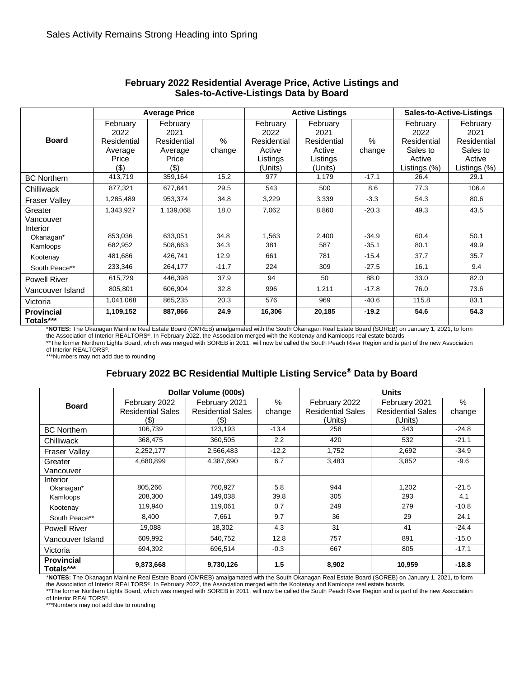| <b>Board</b>                                                   | <b>Average Price</b>                                       |                                                            |                                 |                                                                  | <b>Active Listings</b>                                           | <b>Sales-to-Active-Listings</b>          |                                                                       |                                                                       |
|----------------------------------------------------------------|------------------------------------------------------------|------------------------------------------------------------|---------------------------------|------------------------------------------------------------------|------------------------------------------------------------------|------------------------------------------|-----------------------------------------------------------------------|-----------------------------------------------------------------------|
|                                                                | February<br>2022<br>Residential<br>Average<br>Price<br>(3) | February<br>2021<br>Residential<br>Average<br>Price<br>(3) | $\%$<br>change                  | February<br>2022<br>Residential<br>Active<br>Listings<br>(Units) | February<br>2021<br>Residential<br>Active<br>Listings<br>(Units) | $\%$<br>change                           | February<br>2022<br>Residential<br>Sales to<br>Active<br>Listings (%) | February<br>2021<br>Residential<br>Sales to<br>Active<br>Listings (%) |
| <b>BC Northern</b>                                             | 413,719                                                    | 359,164                                                    | 15.2                            | 977                                                              | 1,179                                                            | $-17.1$                                  | 26.4                                                                  | 29.1                                                                  |
| Chilliwack                                                     | 877,321                                                    | 677,641                                                    | 29.5                            | 543                                                              | 500                                                              | 8.6                                      | 77.3                                                                  | 106.4                                                                 |
| <b>Fraser Valley</b>                                           | 1,285,489                                                  | 953,374                                                    | 34.8                            | 3,229                                                            | 3,339                                                            | $-3.3$                                   | 54.3                                                                  | 80.6                                                                  |
| Greater<br>Vancouver                                           | 1,343,927                                                  | 1,139,068                                                  | 18.0                            | 7,062                                                            | 8,860                                                            | $-20.3$                                  | 49.3                                                                  | 43.5                                                                  |
| Interior<br>Okanagan*<br>Kamloops<br>Kootenay<br>South Peace** | 853,036<br>682,952<br>481,686<br>233,346                   | 633,051<br>508,663<br>426,741<br>264,177                   | 34.8<br>34.3<br>12.9<br>$-11.7$ | 1,563<br>381<br>661<br>224                                       | 2,400<br>587<br>781<br>309                                       | $-34.9$<br>$-35.1$<br>$-15.4$<br>$-27.5$ | 60.4<br>80.1<br>37.7<br>16.1                                          | 50.1<br>49.9<br>35.7<br>9.4                                           |
| <b>Powell River</b>                                            | 615,729                                                    | 446,398                                                    | 37.9                            | 94                                                               | 50                                                               | 88.0                                     | 33.0                                                                  | 82.0                                                                  |
| Vancouver Island                                               | 805,801                                                    | 606,904                                                    | 32.8                            | 996                                                              | 1,211                                                            | $-17.8$                                  | 76.0                                                                  | 73.6                                                                  |
| Victoria                                                       | 1,041,068                                                  | 865,235                                                    | 20.3                            | 576                                                              | 969                                                              | $-40.6$                                  | 115.8                                                                 | 83.1                                                                  |
| <b>Provincial</b><br>Totals***                                 | 1,109,152                                                  | 887,866                                                    | 24.9                            | 16,306                                                           | 20,185                                                           | $-19.2$                                  | 54.6                                                                  | 54.3                                                                  |

#### **February 2022 Residential Average Price, Active Listings and Sales-to-Active-Listings Data by Board**

\***NOTES:** The Okanagan Mainline Real Estate Board (OMREB) amalgamated with the South Okanagan Real Estate Board (SOREB) on January 1, 2021, to form the Association of Interior REALTORS©. In February 2022, the Association merged with the Kootenay and Kamloops real estate boards.

\*\*The former Northern Lights Board, which was merged with SOREB in 2011, will now be called the South Peach River Region and is part of the new Association

of Interior REALTORS©.

\*\*\*Numbers may not add due to rounding

## **February 2022 BC Residential Multiple Listing Service® Data by Board**

| <b>Board</b>                   |                          | Dollar Volume (000s)     |         | <b>Units</b>             |                          |         |  |  |
|--------------------------------|--------------------------|--------------------------|---------|--------------------------|--------------------------|---------|--|--|
|                                | February 2022            | February 2021            | $\%$    | February 2022            | February 2021            | %       |  |  |
|                                | <b>Residential Sales</b> | <b>Residential Sales</b> | change  | <b>Residential Sales</b> | <b>Residential Sales</b> | change  |  |  |
|                                | $(\$)$                   | $(\$)$                   |         | (Units)                  | (Units)                  |         |  |  |
| <b>BC Northern</b>             | 106,739                  | 123,193                  | $-13.4$ | 258                      | 343                      | $-24.8$ |  |  |
| Chilliwack                     | 368,475                  | 360,505                  | 2.2     | 420                      | 532                      | $-21.1$ |  |  |
| <b>Fraser Valley</b>           | 2,252,177                | 2,566,483                | $-12.2$ | 1,752                    | 2,692                    | $-34.9$ |  |  |
| Greater                        | 4,680,899                | 4,387,690                | 6.7     | 3,483                    | 3,852                    | $-9.6$  |  |  |
| Vancouver                      |                          |                          |         |                          |                          |         |  |  |
| Interior                       |                          |                          |         |                          |                          |         |  |  |
| Okanagan*                      | 805,266                  | 760,927                  | 5.8     | 944                      | 1,202                    | $-21.5$ |  |  |
| Kamloops                       | 208,300                  | 149,038                  | 39.8    | 305                      | 293                      | 4.1     |  |  |
| Kootenay                       | 119,940                  | 119,061                  | 0.7     | 249                      | 279                      | $-10.8$ |  |  |
| South Peace**                  | 8,400                    | 7,661                    | 9.7     | 36                       | 29                       | 24.1    |  |  |
| <b>Powell River</b>            | 19,088                   | 18,302                   | 4.3     | 31                       | 41                       | $-24.4$ |  |  |
| Vancouver Island               | 609,992                  | 540,752                  | 12.8    | 757                      | 891                      | $-15.0$ |  |  |
| Victoria                       | 694,392                  | 696,514                  | $-0.3$  | 667                      | 805                      | $-17.1$ |  |  |
| <b>Provincial</b><br>Totals*** | 9,873,668                | 9,730,126                | 1.5     | 8,902                    | 10,959                   | $-18.8$ |  |  |

\***NOTES:** The Okanagan Mainline Real Estate Board (OMREB) amalgamated with the South Okanagan Real Estate Board (SOREB) on January 1, 2021, to form

the Association of Interior REALTORS®. In February 2022, the Association merged with the Kootenay and Kamloops real estate boards.<br>\*\*The former Northern Lights Board, which was merged with SOREB in 2011, will now be calle of Interior REALTORS©.

\*\*\*Numbers may not add due to rounding